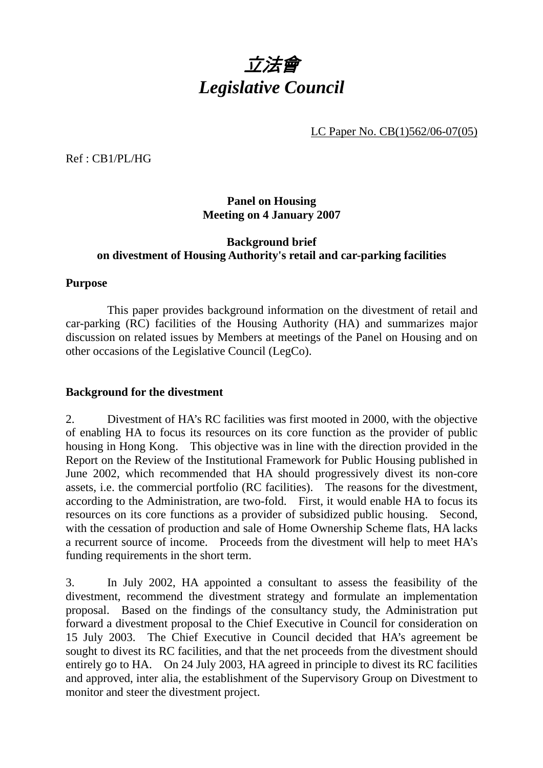

LC Paper No. CB(1)562/06-07(05)

Ref : CB1/PL/HG

## **Panel on Housing Meeting on 4 January 2007**

## **Background brief on divestment of Housing Authority's retail and car-parking facilities**

## **Purpose**

 This paper provides background information on the divestment of retail and car-parking (RC) facilities of the Housing Authority (HA) and summarizes major discussion on related issues by Members at meetings of the Panel on Housing and on other occasions of the Legislative Council (LegCo).

## **Background for the divestment**

2. Divestment of HA's RC facilities was first mooted in 2000, with the objective of enabling HA to focus its resources on its core function as the provider of public housing in Hong Kong. This objective was in line with the direction provided in the Report on the Review of the Institutional Framework for Public Housing published in June 2002, which recommended that HA should progressively divest its non-core assets, i.e. the commercial portfolio (RC facilities). The reasons for the divestment, according to the Administration, are two-fold. First, it would enable HA to focus its resources on its core functions as a provider of subsidized public housing. Second, with the cessation of production and sale of Home Ownership Scheme flats, HA lacks a recurrent source of income. Proceeds from the divestment will help to meet HA's funding requirements in the short term.

3. In July 2002, HA appointed a consultant to assess the feasibility of the divestment, recommend the divestment strategy and formulate an implementation proposal. Based on the findings of the consultancy study, the Administration put forward a divestment proposal to the Chief Executive in Council for consideration on 15 July 2003. The Chief Executive in Council decided that HA's agreement be sought to divest its RC facilities, and that the net proceeds from the divestment should entirely go to HA. On 24 July 2003, HA agreed in principle to divest its RC facilities and approved, inter alia, the establishment of the Supervisory Group on Divestment to monitor and steer the divestment project.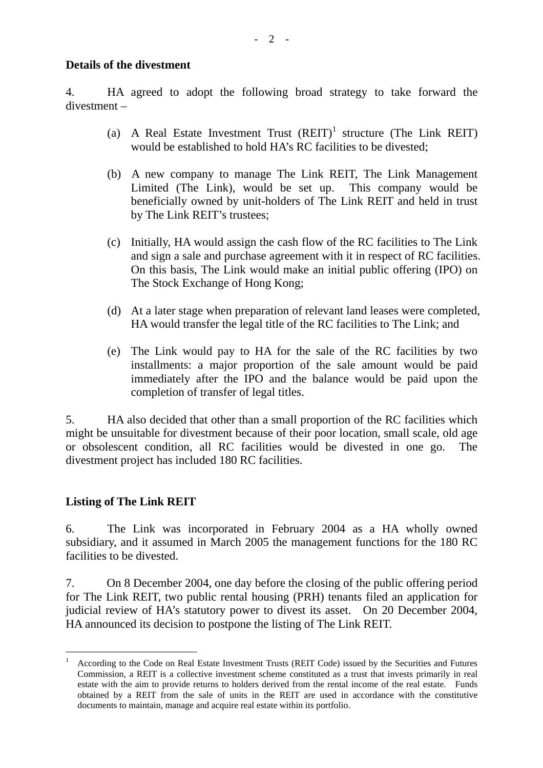#### **Details of the divestment**

4. HA agreed to adopt the following broad strategy to take forward the divestment –

- (a) A Real Estate Investment Trust  $(REIT)^1$  structure (The Link REIT) would be established to hold HA's RC facilities to be divested;
- (b) A new company to manage The Link REIT, The Link Management Limited (The Link), would be set up. This company would be beneficially owned by unit-holders of The Link REIT and held in trust by The Link REIT's trustees;
- (c) Initially, HA would assign the cash flow of the RC facilities to The Link and sign a sale and purchase agreement with it in respect of RC facilities. On this basis, The Link would make an initial public offering (IPO) on The Stock Exchange of Hong Kong;
- (d) At a later stage when preparation of relevant land leases were completed, HA would transfer the legal title of the RC facilities to The Link; and
- (e) The Link would pay to HA for the sale of the RC facilities by two installments: a major proportion of the sale amount would be paid immediately after the IPO and the balance would be paid upon the completion of transfer of legal titles.

5. HA also decided that other than a small proportion of the RC facilities which might be unsuitable for divestment because of their poor location, small scale, old age or obsolescent condition, all RC facilities would be divested in one go. The divestment project has included 180 RC facilities.

## **Listing of The Link REIT**

 $\overline{a}$ 

6. The Link was incorporated in February 2004 as a HA wholly owned subsidiary, and it assumed in March 2005 the management functions for the 180 RC facilities to be divested.

7. On 8 December 2004, one day before the closing of the public offering period for The Link REIT, two public rental housing (PRH) tenants filed an application for judicial review of HA's statutory power to divest its asset. On 20 December 2004, HA announced its decision to postpone the listing of The Link REIT.

<sup>1</sup> According to the Code on Real Estate Investment Trusts (REIT Code) issued by the Securities and Futures Commission, a REIT is a collective investment scheme constituted as a trust that invests primarily in real estate with the aim to provide returns to holders derived from the rental income of the real estate. Funds obtained by a REIT from the sale of units in the REIT are used in accordance with the constitutive documents to maintain, manage and acquire real estate within its portfolio.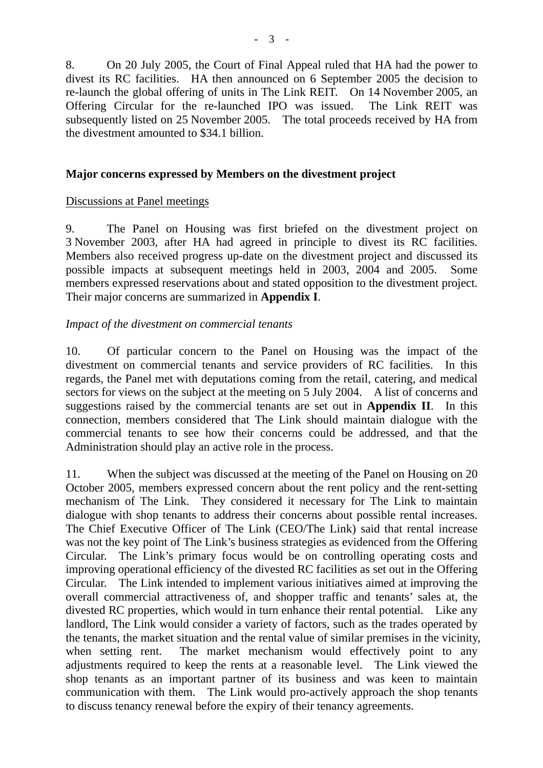8. On 20 July 2005, the Court of Final Appeal ruled that HA had the power to divest its RC facilities. HA then announced on 6 September 2005 the decision to re-launch the global offering of units in The Link REIT. On 14 November 2005, an Offering Circular for the re-launched IPO was issued. The Link REIT was subsequently listed on 25 November 2005. The total proceeds received by HA from the divestment amounted to \$34.1 billion.

## **Major concerns expressed by Members on the divestment project**

## Discussions at Panel meetings

9. The Panel on Housing was first briefed on the divestment project on 3 November 2003, after HA had agreed in principle to divest its RC facilities. Members also received progress up-date on the divestment project and discussed its possible impacts at subsequent meetings held in 2003, 2004 and 2005. Some members expressed reservations about and stated opposition to the divestment project. Their major concerns are summarized in **Appendix I**.

#### *Impact of the divestment on commercial tenants*

10. Of particular concern to the Panel on Housing was the impact of the divestment on commercial tenants and service providers of RC facilities. In this regards, the Panel met with deputations coming from the retail, catering, and medical sectors for views on the subject at the meeting on 5 July 2004. A list of concerns and suggestions raised by the commercial tenants are set out in **Appendix II**. In this connection, members considered that The Link should maintain dialogue with the commercial tenants to see how their concerns could be addressed, and that the Administration should play an active role in the process.

11. When the subject was discussed at the meeting of the Panel on Housing on 20 October 2005, members expressed concern about the rent policy and the rent-setting mechanism of The Link. They considered it necessary for The Link to maintain dialogue with shop tenants to address their concerns about possible rental increases. The Chief Executive Officer of The Link (CEO/The Link) said that rental increase was not the key point of The Link's business strategies as evidenced from the Offering Circular. The Link's primary focus would be on controlling operating costs and improving operational efficiency of the divested RC facilities as set out in the Offering Circular. The Link intended to implement various initiatives aimed at improving the overall commercial attractiveness of, and shopper traffic and tenants' sales at, the divested RC properties, which would in turn enhance their rental potential. Like any landlord, The Link would consider a variety of factors, such as the trades operated by the tenants, the market situation and the rental value of similar premises in the vicinity, when setting rent. The market mechanism would effectively point to any adjustments required to keep the rents at a reasonable level. The Link viewed the shop tenants as an important partner of its business and was keen to maintain communication with them. The Link would pro-actively approach the shop tenants to discuss tenancy renewal before the expiry of their tenancy agreements.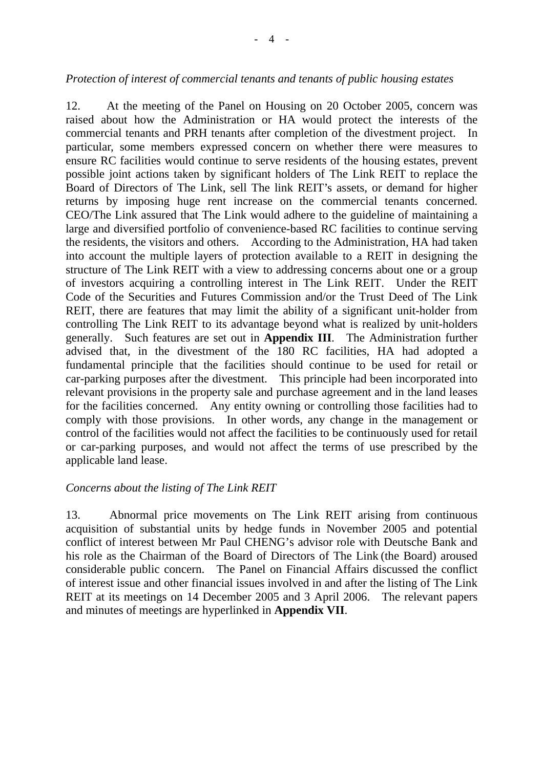#### *Protection of interest of commercial tenants and tenants of public housing estates*

12. At the meeting of the Panel on Housing on 20 October 2005, concern was raised about how the Administration or HA would protect the interests of the commercial tenants and PRH tenants after completion of the divestment project. In particular, some members expressed concern on whether there were measures to ensure RC facilities would continue to serve residents of the housing estates, prevent possible joint actions taken by significant holders of The Link REIT to replace the Board of Directors of The Link, sell The link REIT's assets, or demand for higher returns by imposing huge rent increase on the commercial tenants concerned. CEO/The Link assured that The Link would adhere to the guideline of maintaining a large and diversified portfolio of convenience-based RC facilities to continue serving the residents, the visitors and others. According to the Administration, HA had taken into account the multiple layers of protection available to a REIT in designing the structure of The Link REIT with a view to addressing concerns about one or a group of investors acquiring a controlling interest in The Link REIT. Under the REIT Code of the Securities and Futures Commission and/or the Trust Deed of The Link REIT, there are features that may limit the ability of a significant unit-holder from controlling The Link REIT to its advantage beyond what is realized by unit-holders generally. Such features are set out in **Appendix III**. The Administration further advised that, in the divestment of the 180 RC facilities, HA had adopted a fundamental principle that the facilities should continue to be used for retail or car-parking purposes after the divestment. This principle had been incorporated into relevant provisions in the property sale and purchase agreement and in the land leases for the facilities concerned. Any entity owning or controlling those facilities had to comply with those provisions. In other words, any change in the management or control of the facilities would not affect the facilities to be continuously used for retail or car-parking purposes, and would not affect the terms of use prescribed by the applicable land lease.

#### *Concerns about the listing of The Link REIT*

13. Abnormal price movements on The Link REIT arising from continuous acquisition of substantial units by hedge funds in November 2005 and potential conflict of interest between Mr Paul CHENG's advisor role with Deutsche Bank and his role as the Chairman of the Board of Directors of The Link (the Board) aroused considerable public concern. The Panel on Financial Affairs discussed the conflict of interest issue and other financial issues involved in and after the listing of The Link REIT at its meetings on 14 December 2005 and 3 April 2006. The relevant papers and minutes of meetings are hyperlinked in **Appendix VII**.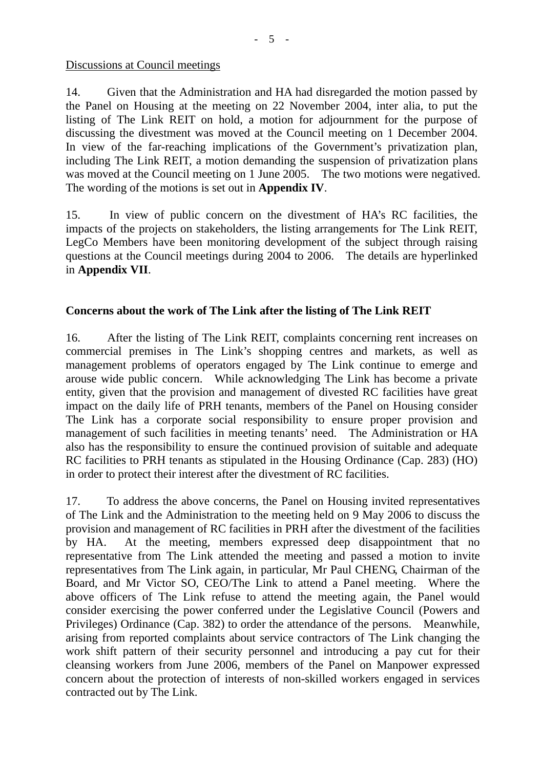#### Discussions at Council meetings

14. Given that the Administration and HA had disregarded the motion passed by the Panel on Housing at the meeting on 22 November 2004, inter alia, to put the listing of The Link REIT on hold, a motion for adjournment for the purpose of discussing the divestment was moved at the Council meeting on 1 December 2004. In view of the far-reaching implications of the Government's privatization plan, including The Link REIT, a motion demanding the suspension of privatization plans was moved at the Council meeting on 1 June 2005. The two motions were negatived. The wording of the motions is set out in **Appendix IV**.

15. In view of public concern on the divestment of HA's RC facilities, the impacts of the projects on stakeholders, the listing arrangements for The Link REIT, LegCo Members have been monitoring development of the subject through raising questions at the Council meetings during 2004 to 2006. The details are hyperlinked in **Appendix VII**.

## **Concerns about the work of The Link after the listing of The Link REIT**

16. After the listing of The Link REIT, complaints concerning rent increases on commercial premises in The Link's shopping centres and markets, as well as management problems of operators engaged by The Link continue to emerge and arouse wide public concern. While acknowledging The Link has become a private entity, given that the provision and management of divested RC facilities have great impact on the daily life of PRH tenants, members of the Panel on Housing consider The Link has a corporate social responsibility to ensure proper provision and management of such facilities in meeting tenants' need. The Administration or HA also has the responsibility to ensure the continued provision of suitable and adequate RC facilities to PRH tenants as stipulated in the Housing Ordinance (Cap. 283) (HO) in order to protect their interest after the divestment of RC facilities.

17. To address the above concerns, the Panel on Housing invited representatives of The Link and the Administration to the meeting held on 9 May 2006 to discuss the provision and management of RC facilities in PRH after the divestment of the facilities by HA. At the meeting, members expressed deep disappointment that no representative from The Link attended the meeting and passed a motion to invite representatives from The Link again, in particular, Mr Paul CHENG, Chairman of the Board, and Mr Victor SO, CEO/The Link to attend a Panel meeting. Where the above officers of The Link refuse to attend the meeting again, the Panel would consider exercising the power conferred under the Legislative Council (Powers and Privileges) Ordinance (Cap. 382) to order the attendance of the persons. Meanwhile, arising from reported complaints about service contractors of The Link changing the work shift pattern of their security personnel and introducing a pay cut for their cleansing workers from June 2006, members of the Panel on Manpower expressed concern about the protection of interests of non-skilled workers engaged in services contracted out by The Link.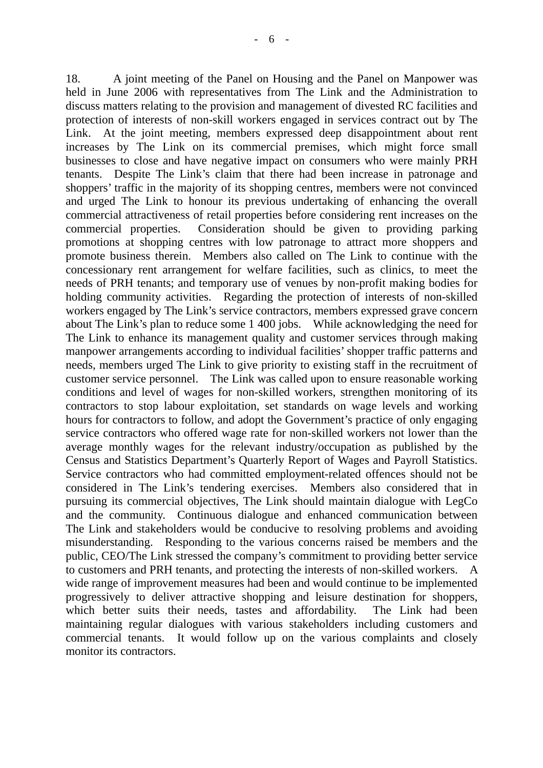18. A joint meeting of the Panel on Housing and the Panel on Manpower was held in June 2006 with representatives from The Link and the Administration to discuss matters relating to the provision and management of divested RC facilities and protection of interests of non-skill workers engaged in services contract out by The Link. At the joint meeting, members expressed deep disappointment about rent increases by The Link on its commercial premises, which might force small businesses to close and have negative impact on consumers who were mainly PRH tenants. Despite The Link's claim that there had been increase in patronage and shoppers' traffic in the majority of its shopping centres, members were not convinced and urged The Link to honour its previous undertaking of enhancing the overall commercial attractiveness of retail properties before considering rent increases on the commercial properties. Consideration should be given to providing parking promotions at shopping centres with low patronage to attract more shoppers and promote business therein. Members also called on The Link to continue with the concessionary rent arrangement for welfare facilities, such as clinics, to meet the needs of PRH tenants; and temporary use of venues by non-profit making bodies for holding community activities. Regarding the protection of interests of non-skilled workers engaged by The Link's service contractors, members expressed grave concern about The Link's plan to reduce some 1 400 jobs. While acknowledging the need for The Link to enhance its management quality and customer services through making manpower arrangements according to individual facilities' shopper traffic patterns and needs, members urged The Link to give priority to existing staff in the recruitment of customer service personnel. The Link was called upon to ensure reasonable working conditions and level of wages for non-skilled workers, strengthen monitoring of its contractors to stop labour exploitation, set standards on wage levels and working hours for contractors to follow, and adopt the Government's practice of only engaging service contractors who offered wage rate for non-skilled workers not lower than the average monthly wages for the relevant industry/occupation as published by the Census and Statistics Department's Quarterly Report of Wages and Payroll Statistics. Service contractors who had committed employment-related offences should not be considered in The Link's tendering exercises. Members also considered that in pursuing its commercial objectives, The Link should maintain dialogue with LegCo and the community. Continuous dialogue and enhanced communication between The Link and stakeholders would be conducive to resolving problems and avoiding misunderstanding. Responding to the various concerns raised be members and the public, CEO/The Link stressed the company's commitment to providing better service to customers and PRH tenants, and protecting the interests of non-skilled workers. A wide range of improvement measures had been and would continue to be implemented progressively to deliver attractive shopping and leisure destination for shoppers, which better suits their needs, tastes and affordability. The Link had been maintaining regular dialogues with various stakeholders including customers and commercial tenants. It would follow up on the various complaints and closely monitor its contractors.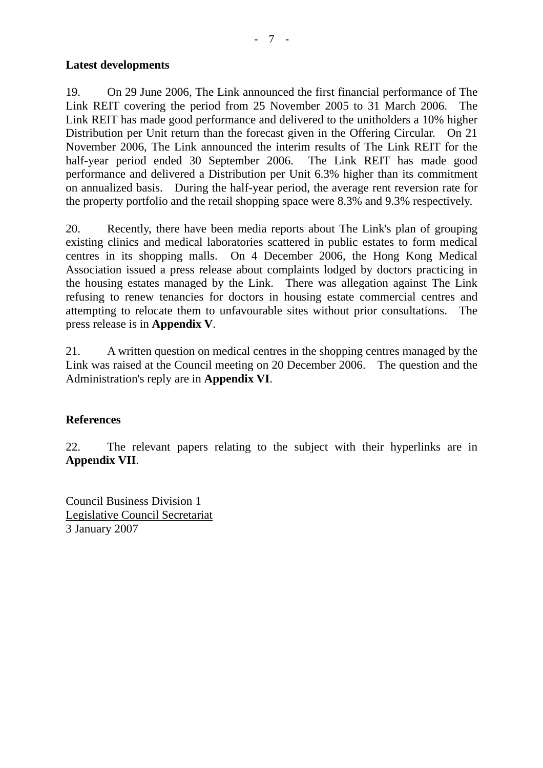#### **Latest developments**

19. On 29 June 2006, The Link announced the first financial performance of The Link REIT covering the period from 25 November 2005 to 31 March 2006. The Link REIT has made good performance and delivered to the unitholders a 10% higher Distribution per Unit return than the forecast given in the Offering Circular.On 21 November 2006, The Link announced the interim results of The Link REIT for the half-year period ended 30 September 2006. The Link REIT has made good performance and delivered a Distribution per Unit 6.3% higher than its commitment on annualized basis. During the half-year period, the average rent reversion rate for the property portfolio and the retail shopping space were 8.3% and 9.3% respectively.

20. Recently, there have been media reports about The Link's plan of grouping existing clinics and medical laboratories scattered in public estates to form medical centres in its shopping malls. On 4 December 2006, the Hong Kong Medical Association issued a press release about complaints lodged by doctors practicing in the housing estates managed by the Link. There was allegation against The Link refusing to renew tenancies for doctors in housing estate commercial centres and attempting to relocate them to unfavourable sites without prior consultations. The press release is in **Appendix V**.

21. A written question on medical centres in the shopping centres managed by the Link was raised at the Council meeting on 20 December 2006. The question and the Administration's reply are in **Appendix VI**.

#### **References**

22. The relevant papers relating to the subject with their hyperlinks are in **Appendix VII**.

Council Business Division 1 Legislative Council Secretariat 3 January 2007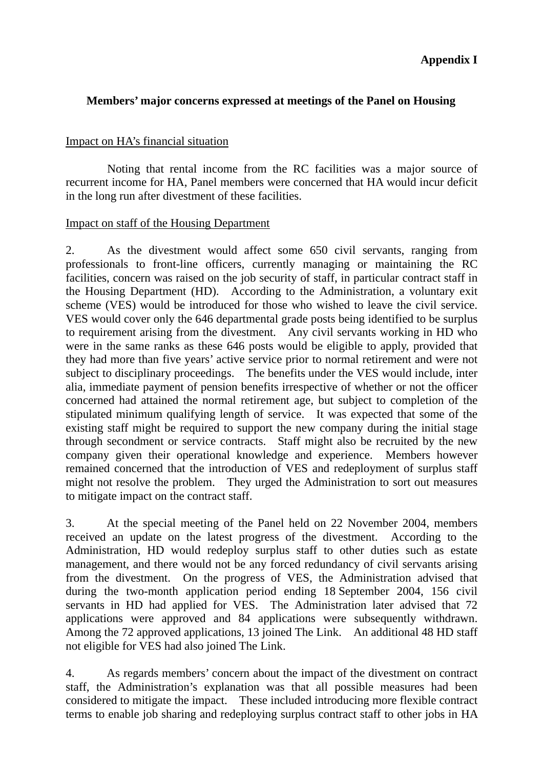# **Members' major concerns expressed at meetings of the Panel on Housing**

## Impact on HA's financial situation

 Noting that rental income from the RC facilities was a major source of recurrent income for HA, Panel members were concerned that HA would incur deficit in the long run after divestment of these facilities.

## Impact on staff of the Housing Department

2. As the divestment would affect some 650 civil servants, ranging from professionals to front-line officers, currently managing or maintaining the RC facilities, concern was raised on the job security of staff, in particular contract staff in the Housing Department (HD). According to the Administration, a voluntary exit scheme (VES) would be introduced for those who wished to leave the civil service. VES would cover only the 646 departmental grade posts being identified to be surplus to requirement arising from the divestment. Any civil servants working in HD who were in the same ranks as these 646 posts would be eligible to apply, provided that they had more than five years' active service prior to normal retirement and were not subject to disciplinary proceedings. The benefits under the VES would include, inter alia, immediate payment of pension benefits irrespective of whether or not the officer concerned had attained the normal retirement age, but subject to completion of the stipulated minimum qualifying length of service. It was expected that some of the existing staff might be required to support the new company during the initial stage through secondment or service contracts. Staff might also be recruited by the new company given their operational knowledge and experience. Members however remained concerned that the introduction of VES and redeployment of surplus staff might not resolve the problem. They urged the Administration to sort out measures to mitigate impact on the contract staff.

3. At the special meeting of the Panel held on 22 November 2004, members received an update on the latest progress of the divestment. According to the Administration, HD would redeploy surplus staff to other duties such as estate management, and there would not be any forced redundancy of civil servants arising from the divestment. On the progress of VES, the Administration advised that during the two-month application period ending 18 September 2004, 156 civil servants in HD had applied for VES. The Administration later advised that 72 applications were approved and 84 applications were subsequently withdrawn. Among the 72 approved applications, 13 joined The Link. An additional 48 HD staff not eligible for VES had also joined The Link.

4. As regards members' concern about the impact of the divestment on contract staff, the Administration's explanation was that all possible measures had been considered to mitigate the impact. These included introducing more flexible contract terms to enable job sharing and redeploying surplus contract staff to other jobs in HA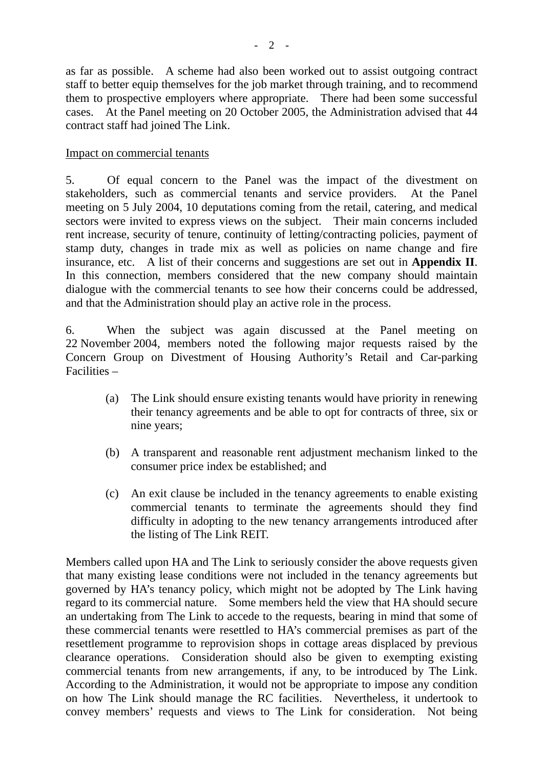as far as possible. A scheme had also been worked out to assist outgoing contract staff to better equip themselves for the job market through training, and to recommend them to prospective employers where appropriate. There had been some successful cases. At the Panel meeting on 20 October 2005, the Administration advised that 44 contract staff had joined The Link.

## Impact on commercial tenants

5. Of equal concern to the Panel was the impact of the divestment on stakeholders, such as commercial tenants and service providers. At the Panel meeting on 5 July 2004, 10 deputations coming from the retail, catering, and medical sectors were invited to express views on the subject. Their main concerns included rent increase, security of tenure, continuity of letting/contracting policies, payment of stamp duty, changes in trade mix as well as policies on name change and fire insurance, etc. A list of their concerns and suggestions are set out in **Appendix II**. In this connection, members considered that the new company should maintain dialogue with the commercial tenants to see how their concerns could be addressed, and that the Administration should play an active role in the process.

6. When the subject was again discussed at the Panel meeting on 22 November 2004, members noted the following major requests raised by the Concern Group on Divestment of Housing Authority's Retail and Car-parking Facilities –

- (a) The Link should ensure existing tenants would have priority in renewing their tenancy agreements and be able to opt for contracts of three, six or nine years;
- (b) A transparent and reasonable rent adjustment mechanism linked to the consumer price index be established; and
- (c) An exit clause be included in the tenancy agreements to enable existing commercial tenants to terminate the agreements should they find difficulty in adopting to the new tenancy arrangements introduced after the listing of The Link REIT.

Members called upon HA and The Link to seriously consider the above requests given that many existing lease conditions were not included in the tenancy agreements but governed by HA's tenancy policy, which might not be adopted by The Link having regard to its commercial nature. Some members held the view that HA should secure an undertaking from The Link to accede to the requests, bearing in mind that some of these commercial tenants were resettled to HA's commercial premises as part of the resettlement programme to reprovision shops in cottage areas displaced by previous clearance operations. Consideration should also be given to exempting existing commercial tenants from new arrangements, if any, to be introduced by The Link. According to the Administration, it would not be appropriate to impose any condition on how The Link should manage the RC facilities. Nevertheless, it undertook to convey members' requests and views to The Link for consideration. Not being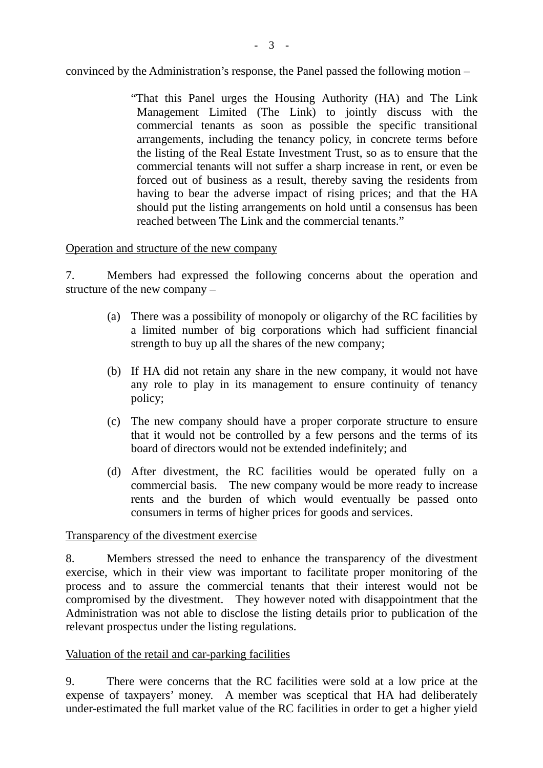convinced by the Administration's response, the Panel passed the following motion –

"That this Panel urges the Housing Authority (HA) and The Link Management Limited (The Link) to jointly discuss with the commercial tenants as soon as possible the specific transitional arrangements, including the tenancy policy, in concrete terms before the listing of the Real Estate Investment Trust, so as to ensure that the commercial tenants will not suffer a sharp increase in rent, or even be forced out of business as a result, thereby saving the residents from having to bear the adverse impact of rising prices; and that the HA should put the listing arrangements on hold until a consensus has been reached between The Link and the commercial tenants."

#### Operation and structure of the new company

7. Members had expressed the following concerns about the operation and structure of the new company –

- (a) There was a possibility of monopoly or oligarchy of the RC facilities by a limited number of big corporations which had sufficient financial strength to buy up all the shares of the new company;
- (b) If HA did not retain any share in the new company, it would not have any role to play in its management to ensure continuity of tenancy policy;
- (c) The new company should have a proper corporate structure to ensure that it would not be controlled by a few persons and the terms of its board of directors would not be extended indefinitely; and
- (d) After divestment, the RC facilities would be operated fully on a commercial basis. The new company would be more ready to increase rents and the burden of which would eventually be passed onto consumers in terms of higher prices for goods and services.

#### Transparency of the divestment exercise

8. Members stressed the need to enhance the transparency of the divestment exercise, which in their view was important to facilitate proper monitoring of the process and to assure the commercial tenants that their interest would not be compromised by the divestment. They however noted with disappointment that the Administration was not able to disclose the listing details prior to publication of the relevant prospectus under the listing regulations.

## Valuation of the retail and car-parking facilities

9. There were concerns that the RC facilities were sold at a low price at the expense of taxpayers' money. A member was sceptical that HA had deliberately under-estimated the full market value of the RC facilities in order to get a higher yield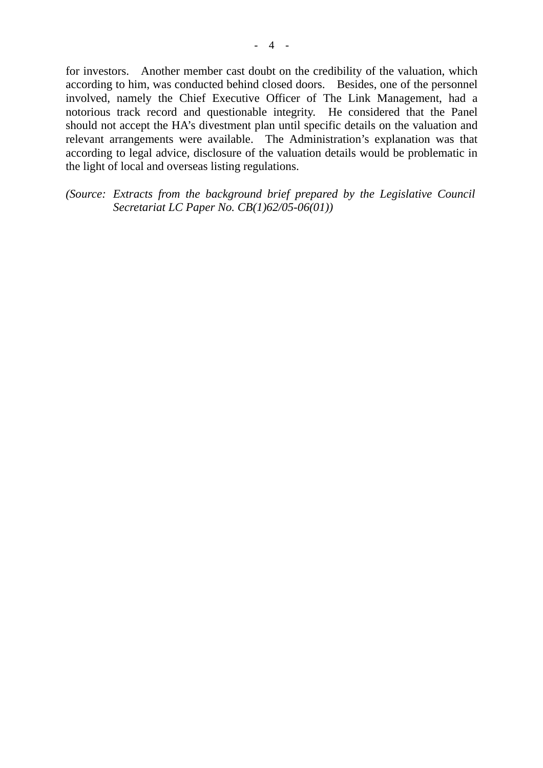for investors. Another member cast doubt on the credibility of the valuation, which according to him, was conducted behind closed doors. Besides, one of the personnel involved, namely the Chief Executive Officer of The Link Management, had a notorious track record and questionable integrity. He considered that the Panel should not accept the HA's divestment plan until specific details on the valuation and relevant arrangements were available. The Administration's explanation was that according to legal advice, disclosure of the valuation details would be problematic in the light of local and overseas listing regulations.

*(Source: Extracts from the background brief prepared by the Legislative Council Secretariat LC Paper No. CB(1)62/05-06(01))*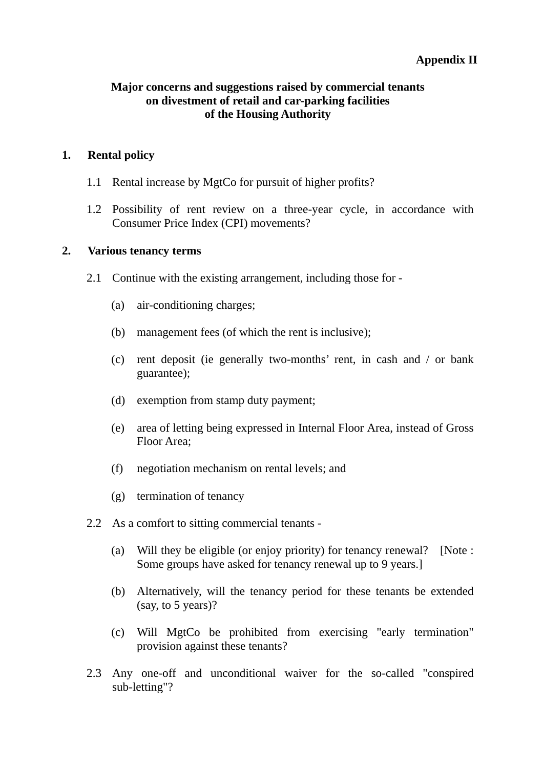# **Appendix II**

## **Major concerns and suggestions raised by commercial tenants on divestment of retail and car-parking facilities of the Housing Authority**

#### **1. Rental policy**

- 1.1 Rental increase by MgtCo for pursuit of higher profits?
- 1.2 Possibility of rent review on a three-year cycle, in accordance with Consumer Price Index (CPI) movements?

## **2. Various tenancy terms**

- 2.1 Continue with the existing arrangement, including those for
	- (a) air-conditioning charges;
	- (b) management fees (of which the rent is inclusive);
	- (c) rent deposit (ie generally two-months' rent, in cash and / or bank guarantee);
	- (d) exemption from stamp duty payment;
	- (e) area of letting being expressed in Internal Floor Area, instead of Gross Floor Area;
	- (f) negotiation mechanism on rental levels; and
	- (g) termination of tenancy
- 2.2 As a comfort to sitting commercial tenants
	- (a) Will they be eligible (or enjoy priority) for tenancy renewal? [Note : Some groups have asked for tenancy renewal up to 9 years.]
	- (b) Alternatively, will the tenancy period for these tenants be extended (say, to 5 years)?
	- (c) Will MgtCo be prohibited from exercising "early termination" provision against these tenants?
- 2.3 Any one-off and unconditional waiver for the so-called "conspired sub-letting"?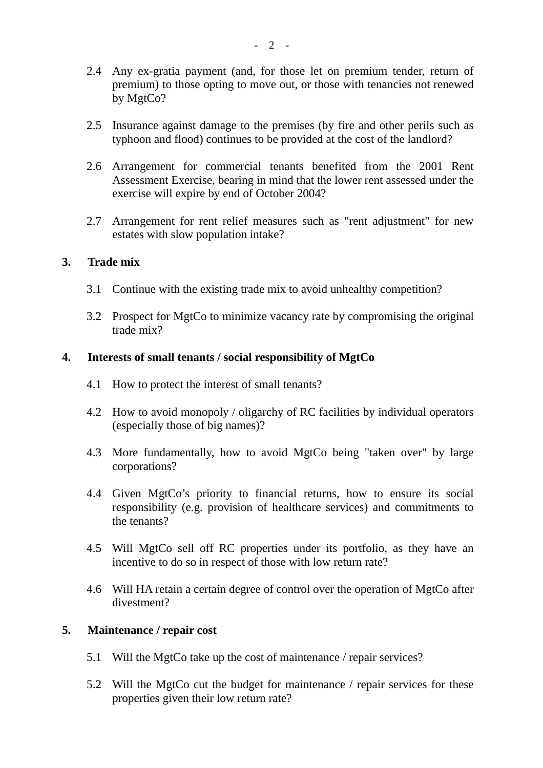- 2.4 Any ex-gratia payment (and, for those let on premium tender, return of premium) to those opting to move out, or those with tenancies not renewed by MgtCo?
- 2.5 Insurance against damage to the premises (by fire and other perils such as typhoon and flood) continues to be provided at the cost of the landlord?
- 2.6 Arrangement for commercial tenants benefited from the 2001 Rent Assessment Exercise, bearing in mind that the lower rent assessed under the exercise will expire by end of October 2004?
- 2.7 Arrangement for rent relief measures such as "rent adjustment" for new estates with slow population intake?

#### **3. Trade mix**

- 3.1 Continue with the existing trade mix to avoid unhealthy competition?
- 3.2 Prospect for MgtCo to minimize vacancy rate by compromising the original trade mix?

## **4. Interests of small tenants / social responsibility of MgtCo**

- 4.1 How to protect the interest of small tenants?
- 4.2 How to avoid monopoly / oligarchy of RC facilities by individual operators (especially those of big names)?
- 4.3 More fundamentally, how to avoid MgtCo being "taken over" by large corporations?
- 4.4 Given MgtCo's priority to financial returns, how to ensure its social responsibility (e.g. provision of healthcare services) and commitments to the tenants?
- 4.5 Will MgtCo sell off RC properties under its portfolio, as they have an incentive to do so in respect of those with low return rate?
- 4.6 Will HA retain a certain degree of control over the operation of MgtCo after divestment?

#### **5. Maintenance / repair cost**

- 5.1 Will the MgtCo take up the cost of maintenance / repair services?
- 5.2 Will the MgtCo cut the budget for maintenance / repair services for these properties given their low return rate?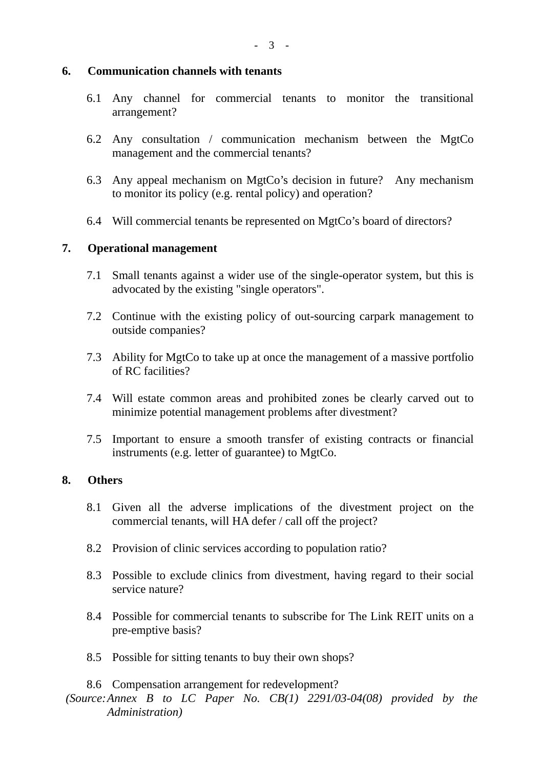#### **6. Communication channels with tenants**

- 6.1 Any channel for commercial tenants to monitor the transitional arrangement?
- 6.2 Any consultation / communication mechanism between the MgtCo management and the commercial tenants?
- 6.3 Any appeal mechanism on MgtCo's decision in future? Any mechanism to monitor its policy (e.g. rental policy) and operation?
- 6.4 Will commercial tenants be represented on MgtCo's board of directors?

## **7. Operational management**

- 7.1 Small tenants against a wider use of the single-operator system, but this is advocated by the existing "single operators".
- 7.2 Continue with the existing policy of out-sourcing carpark management to outside companies?
- 7.3 Ability for MgtCo to take up at once the management of a massive portfolio of RC facilities?
- 7.4 Will estate common areas and prohibited zones be clearly carved out to minimize potential management problems after divestment?
- 7.5 Important to ensure a smooth transfer of existing contracts or financial instruments (e.g. letter of guarantee) to MgtCo.

#### **8. Others**

- 8.1 Given all the adverse implications of the divestment project on the commercial tenants, will HA defer / call off the project?
- 8.2 Provision of clinic services according to population ratio?
- 8.3 Possible to exclude clinics from divestment, having regard to their social service nature?
- 8.4 Possible for commercial tenants to subscribe for The Link REIT units on a pre-emptive basis?
- 8.5 Possible for sitting tenants to buy their own shops?

8.6 Compensation arrangement for redevelopment?

*<sup>(</sup>Source: Annex B to LC Paper No. CB(1) 2291/03-04(08) provided by the Administration)*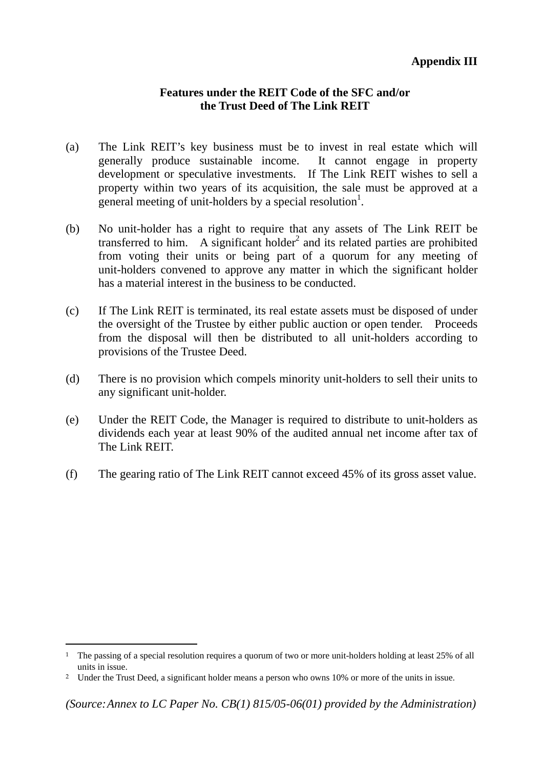## **Features under the REIT Code of the SFC and/or the Trust Deed of The Link REIT**

- (a) The Link REIT's key business must be to invest in real estate which will generally produce sustainable income. It cannot engage in property development or speculative investments. If The Link REIT wishes to sell a property within two years of its acquisition, the sale must be approved at a general meeting of unit-holders by a special resolution<sup>1</sup>.
- (b) No unit-holder has a right to require that any assets of The Link REIT be transferred to him. A significant holder<sup>2</sup> and its related parties are prohibited from voting their units or being part of a quorum for any meeting of unit-holders convened to approve any matter in which the significant holder has a material interest in the business to be conducted.
- (c) If The Link REIT is terminated, its real estate assets must be disposed of under the oversight of the Trustee by either public auction or open tender. Proceeds from the disposal will then be distributed to all unit-holders according to provisions of the Trustee Deed.
- (d) There is no provision which compels minority unit-holders to sell their units to any significant unit-holder.
- (e) Under the REIT Code, the Manager is required to distribute to unit-holders as dividends each year at least 90% of the audited annual net income after tax of The Link REIT.
- (f) The gearing ratio of The Link REIT cannot exceed 45% of its gross asset value.

 $\overline{a}$ 

<sup>&</sup>lt;sup>1</sup> The passing of a special resolution requires a quorum of two or more unit-holders holding at least 25% of all units in issue.

<sup>&</sup>lt;sup>2</sup> Under the Trust Deed, a significant holder means a person who owns 10% or more of the units in issue.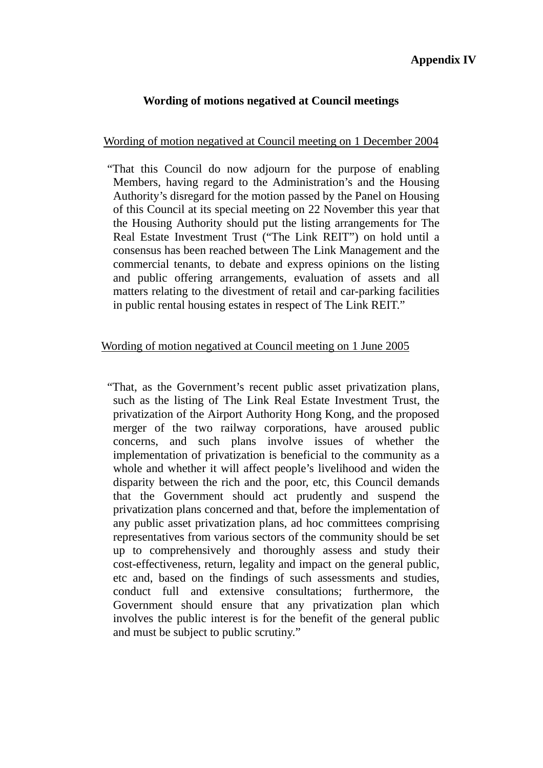## **Wording of motions negatived at Council meetings**

## Wording of motion negatived at Council meeting on 1 December 2004

"That this Council do now adjourn for the purpose of enabling Members, having regard to the Administration's and the Housing Authority's disregard for the motion passed by the Panel on Housing of this Council at its special meeting on 22 November this year that the Housing Authority should put the listing arrangements for The Real Estate Investment Trust ("The Link REIT") on hold until a consensus has been reached between The Link Management and the commercial tenants, to debate and express opinions on the listing and public offering arrangements, evaluation of assets and all matters relating to the divestment of retail and car-parking facilities in public rental housing estates in respect of The Link REIT."

## Wording of motion negatived at Council meeting on 1 June 2005

"That, as the Government's recent public asset privatization plans, such as the listing of The Link Real Estate Investment Trust, the privatization of the Airport Authority Hong Kong, and the proposed merger of the two railway corporations, have aroused public concerns, and such plans involve issues of whether the implementation of privatization is beneficial to the community as a whole and whether it will affect people's livelihood and widen the disparity between the rich and the poor, etc, this Council demands that the Government should act prudently and suspend the privatization plans concerned and that, before the implementation of any public asset privatization plans, ad hoc committees comprising representatives from various sectors of the community should be set up to comprehensively and thoroughly assess and study their cost-effectiveness, return, legality and impact on the general public, etc and, based on the findings of such assessments and studies, conduct full and extensive consultations; furthermore, the Government should ensure that any privatization plan which involves the public interest is for the benefit of the general public and must be subject to public scrutiny."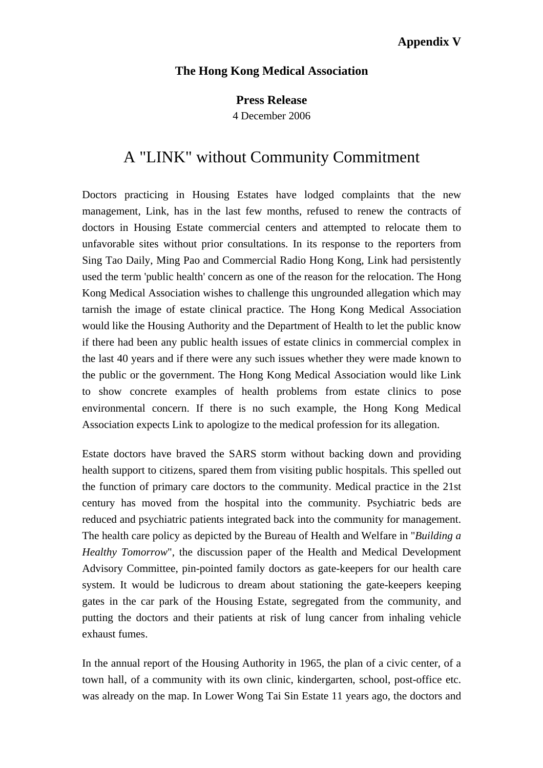# **Appendix V**

#### **The Hong Kong Medical Association**

**Press Release**

4 December 2006

# A "LINK" without Community Commitment

Doctors practicing in Housing Estates have lodged complaints that the new management, Link, has in the last few months, refused to renew the contracts of doctors in Housing Estate commercial centers and attempted to relocate them to unfavorable sites without prior consultations. In its response to the reporters from Sing Tao Daily, Ming Pao and Commercial Radio Hong Kong, Link had persistently used the term 'public health' concern as one of the reason for the relocation. The Hong Kong Medical Association wishes to challenge this ungrounded allegation which may tarnish the image of estate clinical practice. The Hong Kong Medical Association would like the Housing Authority and the Department of Health to let the public know if there had been any public health issues of estate clinics in commercial complex in the last 40 years and if there were any such issues whether they were made known to the public or the government. The Hong Kong Medical Association would like Link to show concrete examples of health problems from estate clinics to pose environmental concern. If there is no such example, the Hong Kong Medical Association expects Link to apologize to the medical profession for its allegation.

Estate doctors have braved the SARS storm without backing down and providing health support to citizens, spared them from visiting public hospitals. This spelled out the function of primary care doctors to the community. Medical practice in the 21st century has moved from the hospital into the community. Psychiatric beds are reduced and psychiatric patients integrated back into the community for management. The health care policy as depicted by the Bureau of Health and Welfare in "*Building a Healthy Tomorrow*", the discussion paper of the Health and Medical Development Advisory Committee, pin-pointed family doctors as gate-keepers for our health care system. It would be ludicrous to dream about stationing the gate-keepers keeping gates in the car park of the Housing Estate, segregated from the community, and putting the doctors and their patients at risk of lung cancer from inhaling vehicle exhaust fumes.

In the annual report of the Housing Authority in 1965, the plan of a civic center, of a town hall, of a community with its own clinic, kindergarten, school, post-office etc. was already on the map. In Lower Wong Tai Sin Estate 11 years ago, the doctors and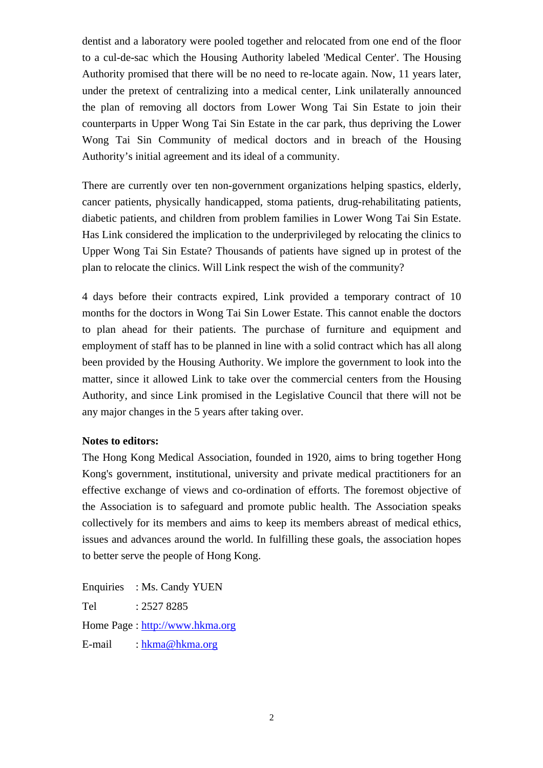dentist and a laboratory were pooled together and relocated from one end of the floor to a cul-de-sac which the Housing Authority labeled 'Medical Center'. The Housing Authority promised that there will be no need to re-locate again. Now, 11 years later, under the pretext of centralizing into a medical center, Link unilaterally announced the plan of removing all doctors from Lower Wong Tai Sin Estate to join their counterparts in Upper Wong Tai Sin Estate in the car park, thus depriving the Lower Wong Tai Sin Community of medical doctors and in breach of the Housing Authority's initial agreement and its ideal of a community.

There are currently over ten non-government organizations helping spastics, elderly, cancer patients, physically handicapped, stoma patients, drug-rehabilitating patients, diabetic patients, and children from problem families in Lower Wong Tai Sin Estate. Has Link considered the implication to the underprivileged by relocating the clinics to Upper Wong Tai Sin Estate? Thousands of patients have signed up in protest of the plan to relocate the clinics. Will Link respect the wish of the community?

4 days before their contracts expired, Link provided a temporary contract of 10 months for the doctors in Wong Tai Sin Lower Estate. This cannot enable the doctors to plan ahead for their patients. The purchase of furniture and equipment and employment of staff has to be planned in line with a solid contract which has all along been provided by the Housing Authority. We implore the government to look into the matter, since it allowed Link to take over the commercial centers from the Housing Authority, and since Link promised in the Legislative Council that there will not be any major changes in the 5 years after taking over.

#### **Notes to editors:**

The Hong Kong Medical Association, founded in 1920, aims to bring together Hong Kong's government, institutional, university and private medical practitioners for an effective exchange of views and co-ordination of efforts. The foremost objective of the Association is to safeguard and promote public health. The Association speaks collectively for its members and aims to keep its members abreast of medical ethics, issues and advances around the world. In fulfilling these goals, the association hopes to better serve the people of Hong Kong.

Enquiries : Ms. Candy YUEN Tel : 2527 8285 Home Page : http://www.hkma.org E-mail : hkma@hkma.org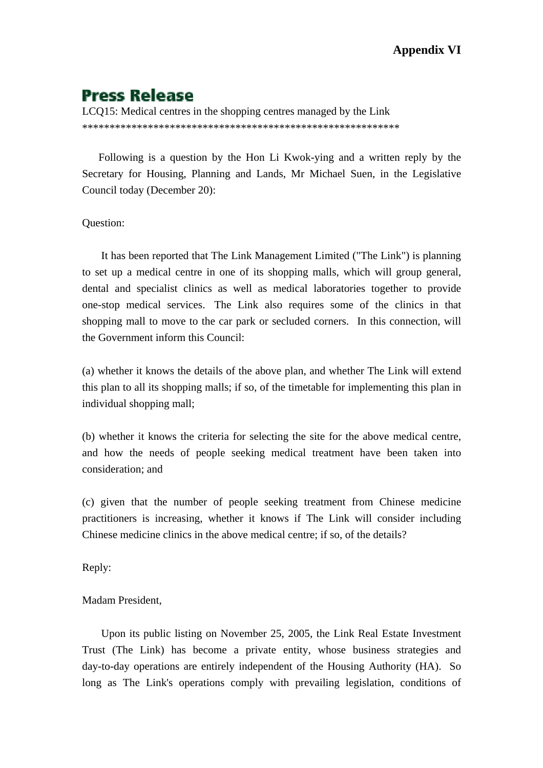# **Press Release**

LCQ15: Medical centres in the shopping centres managed by the Link \*\*\*\*\*\*\*\*\*\*\*\*\*\*\*\*\*\*\*\*\*\*\*\*\*\*\*\*\*\*\*\*\*\*\*\*\*\*\*\*\*\*\*\*\*\*\*\*\*\*\*\*\*\*\*\*\*\*

 Following is a question by the Hon Li Kwok-ying and a written reply by the Secretary for Housing, Planning and Lands, Mr Michael Suen, in the Legislative Council today (December 20):

Question:

 It has been reported that The Link Management Limited ("The Link") is planning to set up a medical centre in one of its shopping malls, which will group general, dental and specialist clinics as well as medical laboratories together to provide one-stop medical services. The Link also requires some of the clinics in that shopping mall to move to the car park or secluded corners. In this connection, will the Government inform this Council:

(a) whether it knows the details of the above plan, and whether The Link will extend this plan to all its shopping malls; if so, of the timetable for implementing this plan in individual shopping mall;

(b) whether it knows the criteria for selecting the site for the above medical centre, and how the needs of people seeking medical treatment have been taken into consideration; and

(c) given that the number of people seeking treatment from Chinese medicine practitioners is increasing, whether it knows if The Link will consider including Chinese medicine clinics in the above medical centre; if so, of the details?

Reply:

Madam President,

 Upon its public listing on November 25, 2005, the Link Real Estate Investment Trust (The Link) has become a private entity, whose business strategies and day-to-day operations are entirely independent of the Housing Authority (HA). So long as The Link's operations comply with prevailing legislation, conditions of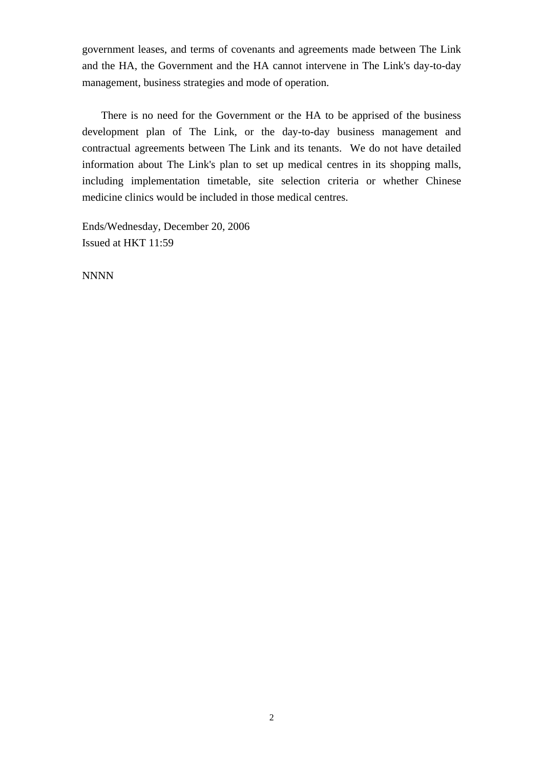government leases, and terms of covenants and agreements made between The Link and the HA, the Government and the HA cannot intervene in The Link's day-to-day management, business strategies and mode of operation.

 There is no need for the Government or the HA to be apprised of the business development plan of The Link, or the day-to-day business management and contractual agreements between The Link and its tenants. We do not have detailed information about The Link's plan to set up medical centres in its shopping malls, including implementation timetable, site selection criteria or whether Chinese medicine clinics would be included in those medical centres.

Ends/Wednesday, December 20, 2006 Issued at HKT 11:59

NNNN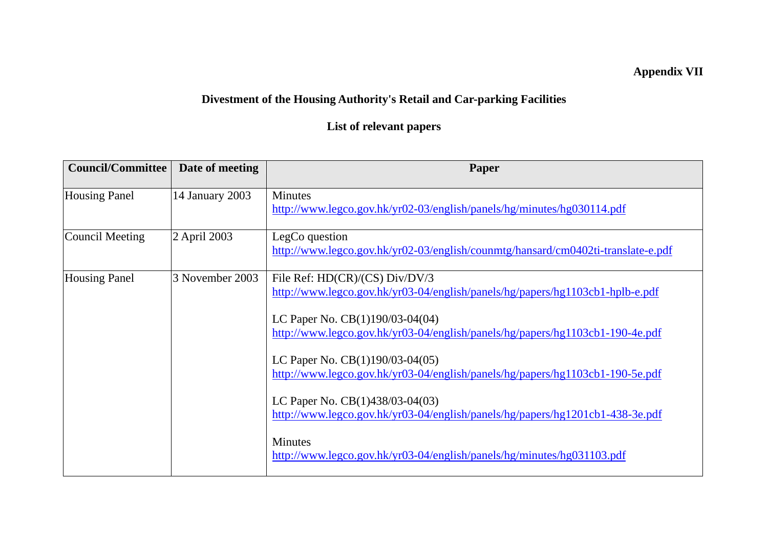# **Appendix VII**

# **Divestment of the Housing Authority's Retail and Car-parking Facilities**

# **List of relevant papers**

| <b>Council/Committee</b> | Date of meeting | Paper                                                                                                                                                                                                                                                                                                                                                                                                                                                                                                                                                                     |
|--------------------------|-----------------|---------------------------------------------------------------------------------------------------------------------------------------------------------------------------------------------------------------------------------------------------------------------------------------------------------------------------------------------------------------------------------------------------------------------------------------------------------------------------------------------------------------------------------------------------------------------------|
| <b>Housing Panel</b>     | 14 January 2003 | <b>Minutes</b><br>http://www.legco.gov.hk/yr02-03/english/panels/hg/minutes/hg030114.pdf                                                                                                                                                                                                                                                                                                                                                                                                                                                                                  |
| Council Meeting          | 2 April 2003    | LegCo question<br>http://www.legco.gov.hk/yr02-03/english/counmtg/hansard/cm0402ti-translate-e.pdf                                                                                                                                                                                                                                                                                                                                                                                                                                                                        |
| <b>Housing Panel</b>     | 3 November 2003 | File Ref: HD(CR)/(CS) Div/DV/3<br>http://www.legco.gov.hk/yr03-04/english/panels/hg/papers/hg1103cb1-hplb-e.pdf<br>LC Paper No. CB(1)190/03-04(04)<br>http://www.legco.gov.hk/yr03-04/english/panels/hg/papers/hg1103cb1-190-4e.pdf<br>LC Paper No. $CB(1)190/03-04(05)$<br>http://www.legco.gov.hk/yr03-04/english/panels/hg/papers/hg1103cb1-190-5e.pdf<br>LC Paper No. CB(1)438/03-04(03)<br>http://www.legco.gov.hk/yr03-04/english/panels/hg/papers/hg1201cb1-438-3e.pdf<br><b>Minutes</b><br>http://www.legco.gov.hk/yr03-04/english/panels/hg/minutes/hg031103.pdf |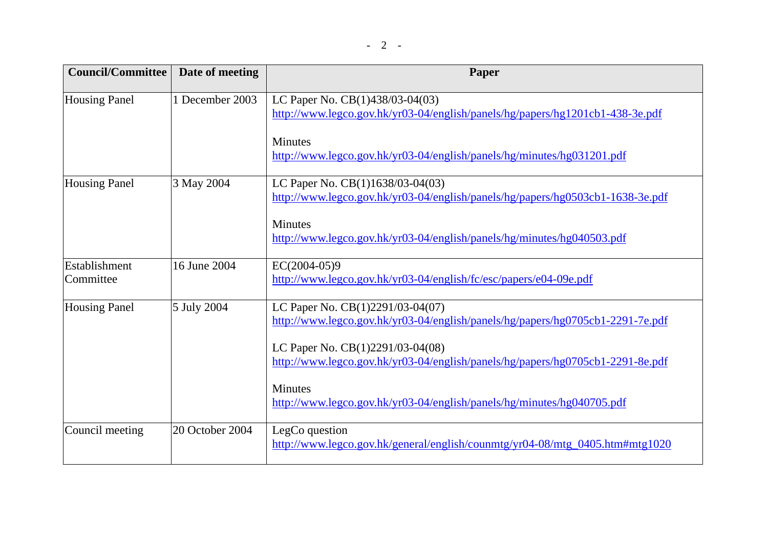| <b>Council/Committee</b>   | Date of meeting | Paper                                                                                                              |
|----------------------------|-----------------|--------------------------------------------------------------------------------------------------------------------|
| <b>Housing Panel</b>       | 1 December 2003 | LC Paper No. CB(1)438/03-04(03)<br>http://www.legco.gov.hk/yr03-04/english/panels/hg/papers/hg1201cb1-438-3e.pdf   |
|                            |                 | <b>Minutes</b><br>http://www.legco.gov.hk/yr03-04/english/panels/hg/minutes/hg031201.pdf                           |
| <b>Housing Panel</b>       | 3 May 2004      | LC Paper No. CB(1)1638/03-04(03)<br>http://www.legco.gov.hk/yr03-04/english/panels/hg/papers/hg0503cb1-1638-3e.pdf |
|                            |                 | <b>Minutes</b><br>http://www.legco.gov.hk/yr03-04/english/panels/hg/minutes/hg040503.pdf                           |
| Establishment<br>Committee | 16 June 2004    | $EC(2004-05)9$<br>http://www.legco.gov.hk/yr03-04/english/fc/esc/papers/e04-09e.pdf                                |
| <b>Housing Panel</b>       | 5 July 2004     | LC Paper No. CB(1)2291/03-04(07)<br>http://www.legco.gov.hk/yr03-04/english/panels/hg/papers/hg0705cb1-2291-7e.pdf |
|                            |                 | LC Paper No. CB(1)2291/03-04(08)<br>http://www.legco.gov.hk/yr03-04/english/panels/hg/papers/hg0705cb1-2291-8e.pdf |
|                            |                 | <b>Minutes</b><br>http://www.legco.gov.hk/yr03-04/english/panels/hg/minutes/hg040705.pdf                           |
| Council meeting            | 20 October 2004 | LegCo question<br>http://www.legco.gov.hk/general/english/counmtg/yr04-08/mtg_0405.htm#mtg1020                     |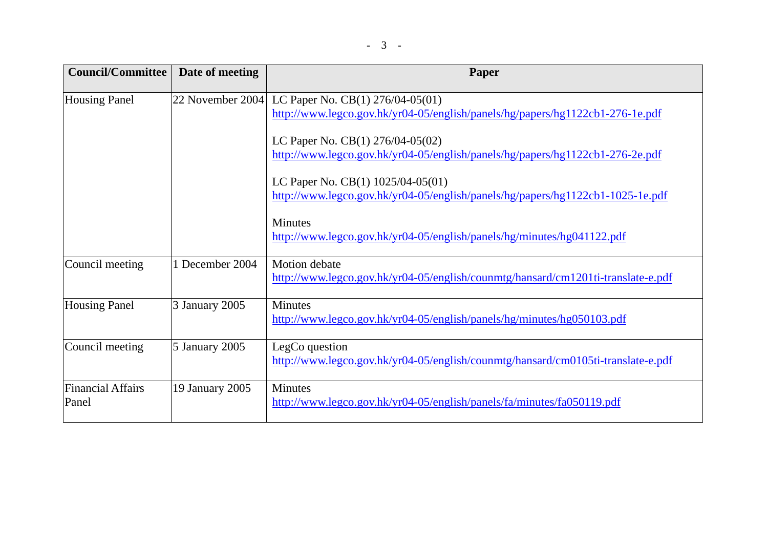| <b>Council/Committee</b>          | Date of meeting  | Paper                                                                                                               |
|-----------------------------------|------------------|---------------------------------------------------------------------------------------------------------------------|
| <b>Housing Panel</b>              | 22 November 2004 | LC Paper No. CB(1) 276/04-05(01)<br>http://www.legco.gov.hk/yr04-05/english/panels/hg/papers/hg1122cb1-276-1e.pdf   |
|                                   |                  | LC Paper No. CB(1) 276/04-05(02)<br>http://www.legco.gov.hk/yr04-05/english/panels/hg/papers/hg1122cb1-276-2e.pdf   |
|                                   |                  | LC Paper No. CB(1) 1025/04-05(01)<br>http://www.legco.gov.hk/yr04-05/english/panels/hg/papers/hg1122cb1-1025-1e.pdf |
|                                   |                  | <b>Minutes</b><br>http://www.legco.gov.hk/yr04-05/english/panels/hg/minutes/hg041122.pdf                            |
| Council meeting                   | 1 December 2004  | <b>Motion</b> debate<br>http://www.legco.gov.hk/yr04-05/english/counmtg/hansard/cm1201ti-translate-e.pdf            |
| <b>Housing Panel</b>              | 3 January 2005   | <b>Minutes</b><br>http://www.legco.gov.hk/yr04-05/english/panels/hg/minutes/hg050103.pdf                            |
| Council meeting                   | 5 January 2005   | LegCo question<br>http://www.legco.gov.hk/yr04-05/english/counmtg/hansard/cm0105ti-translate-e.pdf                  |
| <b>Financial Affairs</b><br>Panel | 19 January 2005  | <b>Minutes</b><br>http://www.legco.gov.hk/yr04-05/english/panels/fa/minutes/fa050119.pdf                            |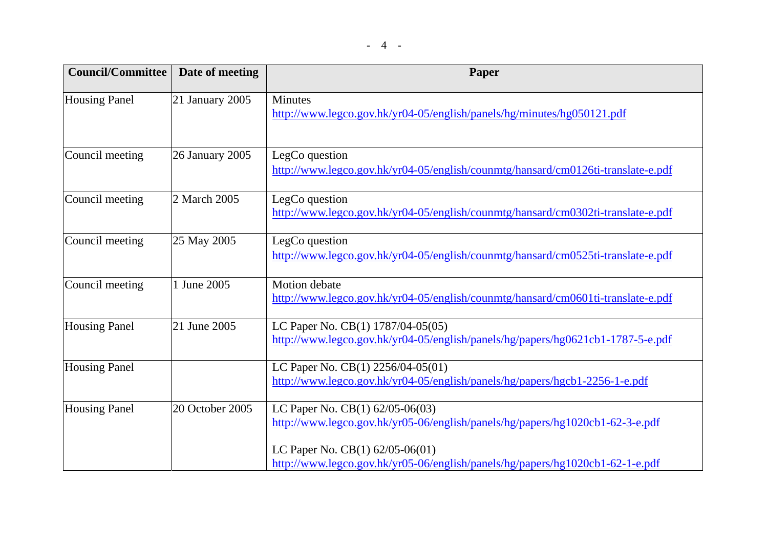| <b>Council/Committee</b> | Date of meeting | <b>Paper</b>                                                                                                                                                |
|--------------------------|-----------------|-------------------------------------------------------------------------------------------------------------------------------------------------------------|
| <b>Housing Panel</b>     | 21 January 2005 | Minutes<br>http://www.legco.gov.hk/yr04-05/english/panels/hg/minutes/hg050121.pdf                                                                           |
| Council meeting          | 26 January 2005 | LegCo question<br>http://www.legco.gov.hk/yr04-05/english/counmtg/hansard/cm0126ti-translate-e.pdf                                                          |
| Council meeting          | 2 March 2005    | LegCo question<br>http://www.legco.gov.hk/yr04-05/english/counmtg/hansard/cm0302ti-translate-e.pdf                                                          |
| Council meeting          | 25 May 2005     | LegCo question<br>http://www.legco.gov.hk/yr04-05/english/counmtg/hansard/cm0525ti-translate-e.pdf                                                          |
| Council meeting          | 1 June 2005     | <b>Motion</b> debate<br>http://www.legco.gov.hk/yr04-05/english/counmtg/hansard/cm0601ti-translate-e.pdf                                                    |
| <b>Housing Panel</b>     | 21 June 2005    | LC Paper No. CB(1) 1787/04-05(05)<br>http://www.legco.gov.hk/yr04-05/english/panels/hg/papers/hg0621cb1-1787-5-e.pdf                                        |
| <b>Housing Panel</b>     |                 | LC Paper No. CB(1) 2256/04-05(01)<br>http://www.legco.gov.hk/yr04-05/english/panels/hg/papers/hgcb1-2256-1-e.pdf                                            |
| <b>Housing Panel</b>     | 20 October 2005 | LC Paper No. CB $(1)$ 62/05-06 $(03)$<br>http://www.legco.gov.hk/yr05-06/english/panels/hg/papers/hg1020cb1-62-3-e.pdf<br>LC Paper No. $CB(1)$ 62/05-06(01) |
|                          |                 | http://www.legco.gov.hk/yr05-06/english/panels/hg/papers/hg1020cb1-62-1-e.pdf                                                                               |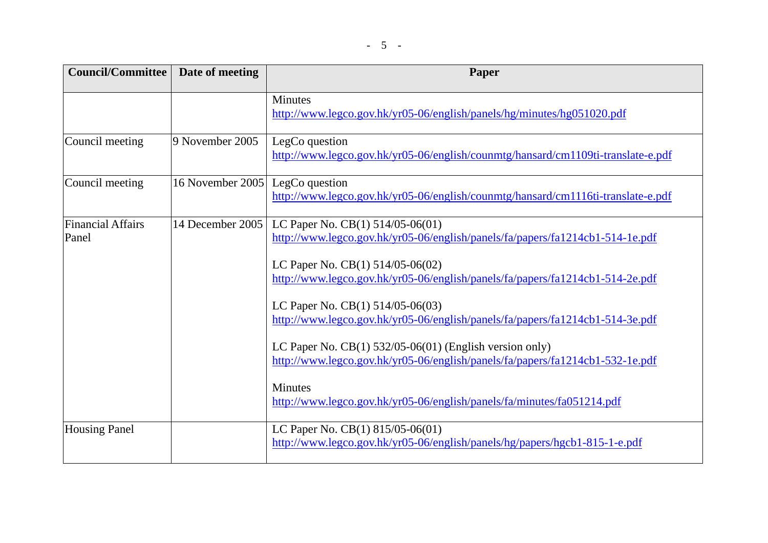| <b>Council/Committee</b>   | Date of meeting  | Paper                                                                                                                                                                                                                                                                                                                                                                                                                                                                                                                                                                                                         |
|----------------------------|------------------|---------------------------------------------------------------------------------------------------------------------------------------------------------------------------------------------------------------------------------------------------------------------------------------------------------------------------------------------------------------------------------------------------------------------------------------------------------------------------------------------------------------------------------------------------------------------------------------------------------------|
|                            |                  | Minutes<br>http://www.legco.gov.hk/yr05-06/english/panels/hg/minutes/hg051020.pdf                                                                                                                                                                                                                                                                                                                                                                                                                                                                                                                             |
| Council meeting            | 9 November 2005  | LegCo question<br>http://www.legco.gov.hk/yr05-06/english/counmtg/hansard/cm1109ti-translate-e.pdf                                                                                                                                                                                                                                                                                                                                                                                                                                                                                                            |
| Council meeting            | 16 November 2005 | LegCo question<br>http://www.legco.gov.hk/yr05-06/english/counmtg/hansard/cm1116ti-translate-e.pdf                                                                                                                                                                                                                                                                                                                                                                                                                                                                                                            |
| Financial Affairs<br>Panel | 14 December 2005 | LC Paper No. CB $(1)$ 514/05-06 $(01)$<br>http://www.legco.gov.hk/yr05-06/english/panels/fa/papers/fa1214cb1-514-1e.pdf<br>LC Paper No. $CB(1)$ 514/05-06(02)<br>http://www.legco.gov.hk/yr05-06/english/panels/fa/papers/fa1214cb1-514-2e.pdf<br>LC Paper No. CB(1) 514/05-06(03)<br>http://www.legco.gov.hk/yr05-06/english/panels/fa/papers/fa1214cb1-514-3e.pdf<br>LC Paper No. $CB(1)$ 532/05-06(01) (English version only)<br>http://www.legco.gov.hk/yr05-06/english/panels/fa/papers/fa1214cb1-532-1e.pdf<br><b>Minutes</b><br>http://www.legco.gov.hk/yr05-06/english/panels/fa/minutes/fa051214.pdf |
| <b>Housing Panel</b>       |                  | LC Paper No. $CB(1)$ 815/05-06(01)<br>http://www.legco.gov.hk/yr05-06/english/panels/hg/papers/hgcb1-815-1-e.pdf                                                                                                                                                                                                                                                                                                                                                                                                                                                                                              |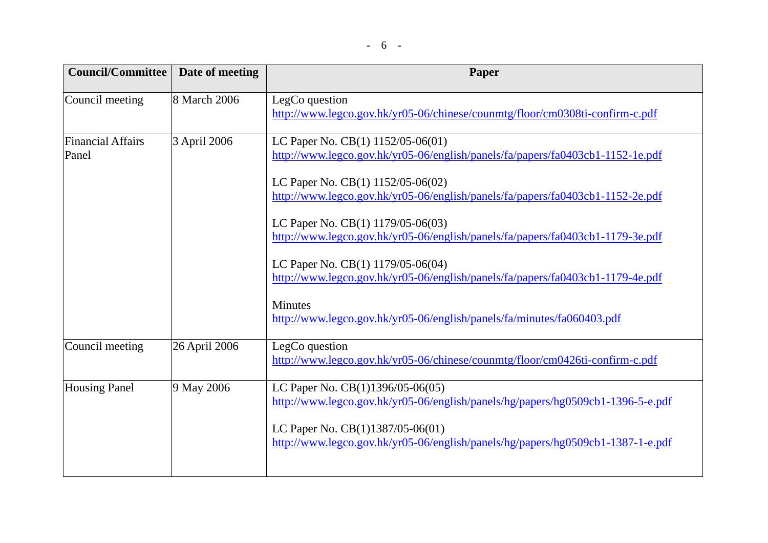| <b>Council/Committee</b><br>Date of meeting | Paper                                                                                                               |
|---------------------------------------------|---------------------------------------------------------------------------------------------------------------------|
| 8 March 2006                                | LegCo question<br>http://www.legco.gov.hk/yr05-06/chinese/counmtg/floor/cm0308ti-confirm-c.pdf                      |
| 3 April 2006                                | LC Paper No. CB(1) 1152/05-06(01)<br>http://www.legco.gov.hk/yr05-06/english/panels/fa/papers/fa0403cb1-1152-1e.pdf |
|                                             | LC Paper No. CB(1) 1152/05-06(02)<br>http://www.legco.gov.hk/yr05-06/english/panels/fa/papers/fa0403cb1-1152-2e.pdf |
|                                             | LC Paper No. CB(1) 1179/05-06(03)<br>http://www.legco.gov.hk/yr05-06/english/panels/fa/papers/fa0403cb1-1179-3e.pdf |
|                                             | LC Paper No. CB(1) 1179/05-06(04)<br>http://www.legco.gov.hk/yr05-06/english/panels/fa/papers/fa0403cb1-1179-4e.pdf |
|                                             | <b>Minutes</b><br>http://www.legco.gov.hk/yr05-06/english/panels/fa/minutes/fa060403.pdf                            |
| 26 April 2006                               | LegCo question<br>http://www.legco.gov.hk/yr05-06/chinese/counmtg/floor/cm0426ti-confirm-c.pdf                      |
| 9 May 2006                                  | LC Paper No. CB(1)1396/05-06(05)<br>http://www.legco.gov.hk/yr05-06/english/panels/hg/papers/hg0509cb1-1396-5-e.pdf |
|                                             | LC Paper No. CB(1)1387/05-06(01)<br>http://www.legco.gov.hk/yr05-06/english/panels/hg/papers/hg0509cb1-1387-1-e.pdf |
|                                             |                                                                                                                     |